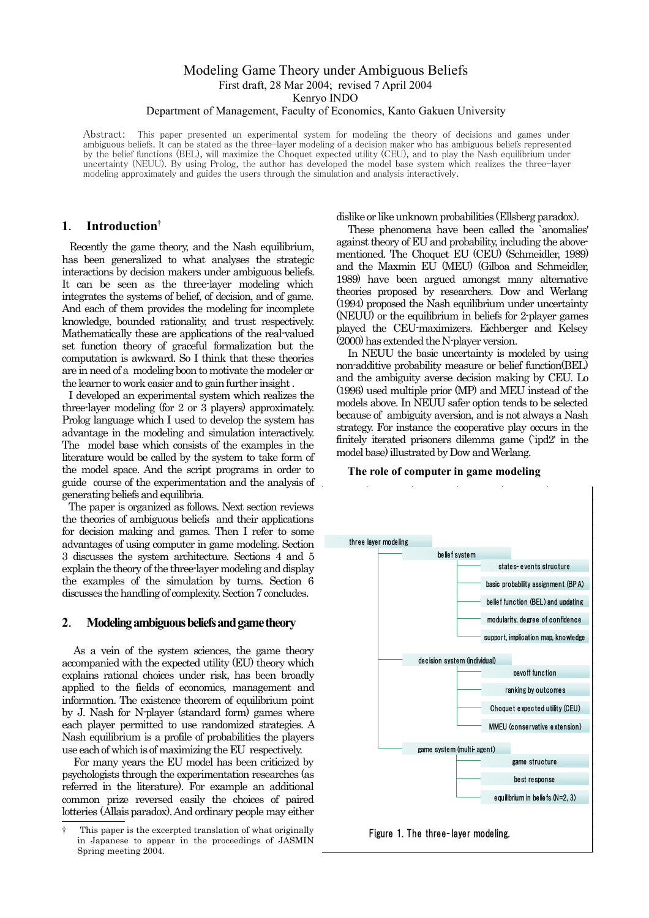# Modeling Game Theory under Ambiguous Beliefs First draft, 28 Mar 2004; revised 7 April 2004 Kenryo INDO

### Department of Management, Faculty of Economics, Kanto Gakuen University

Abstract: This paper presented an experimental system for modeling the theory of decisions and games under ambiguous beliefs. It can be stated as the three-layer modeling of a decision maker who has ambiguous beliefs represented by the belief functions (BEL), will maximize the Choquet expected utility (CEU), and to play the Nash equilibrium under uncertainty (NEUU). By using Prolog, the author has developed the model base system which realizes the three-layer modeling approximately and guides the users through the simulation and analysis interactively.

# **1**. **Introduction†**

Recently the game theory, and the Nash equilibrium, has been generalized to what analyses the strategic interactions by decision makers under ambiguous beliefs. It can be seen as the three-layer modeling which integrates the systems of belief, of decision, and of game. And each of them provides the modeling for incomplete knowledge, bounded rationality, and trust respectively. Mathematically these are applications of the real-valued set function theory of graceful formalization but the computation is awkward. So I think that these theories are inneed ofa modelingboonto motivate the modeler or the learner to work easier and to gain further insight.

I developed an experimental system which realizes the three-layer modeling (for 2 or 3 players) approximately. Prolog language which I used to develop the system has advantage in the modeling and simulation interactively. The model base which consists of the examples in the literature would be called by the system to take form of the model space. And the script programs in order to guide course of the experimentation and the analysis of generating beliefs and equilibria.

The paper is organized as follows. Next section reviews the theories of ambiguous beliefs and their applications for decision making and games. Then I refer to some advantages of using computer in game modeling. Section 3 discusses the system architecture. Sections 4 and 5 explain the theory of the three-layer modeling and display the examples of the simulation by turns. Section 6 discusses the handling of complexity. Section 7 concludes.

### **2**. **Modelingambiguousbeliefsandgametheory**

As a vein of the system sciences, the game theory accompanied with the expected utility (EU) theory which explains rational choices under risk, has been broadly applied to the fields of economics, management and information. The existence theorem of equilibrium point by J. Nash for N-player (standard form) games where each player permitted to use randomized strategies. A Nash equilibrium is a profile of probabilities the players use each of which is of maximizing the EU respectively.

For many years the EU model has been criticized by psychologists through the experimentation researches (as referred in the literature). For example an additional common prize reversed easily the choices of paired lotteries (Allais paradox).And ordinary people may either dislike or like unknown probabilities (Ellsberg paradox).

These phenomena have been called the `anomalies' against theory of EU and probability, including the abovementioned. The Choquet EU (CEU) (Schmeidler, 1989) and the Maxmin EU (MEU) (Gilboa and Schmeidler, 1989) have been argued amongst many alternative theories proposed by researchers. Dow and Werlang (1994) proposed the Nash equilibrium under uncertainty (NEUU) or the equilibrium in beliefs for 2-player games played the CEU-maximizers. Eichberger and Kelsey (2000) has extended the N-player version.

In NEUU the basic uncertainty is modeled by using non-additive probability measure or belief function(BEL) and the ambiguity averse decision making by CEU. Lo (1996) used multiple prior (MP) and MEU instead of the models above. In NEUU safer option tends to be selected because of ambiguity aversion, and is not always a Nash strategy. For instance the cooperative play occurs in the finitely iterated prisoners dilemma game (`ipd2' in the model base) illustrated by Dow and Werlang.

### **The role of computer in game modeling**



This paper is the excerpted translation of what originally in Japanese to appear in the proceedings of JASMIN Spring meeting 2004.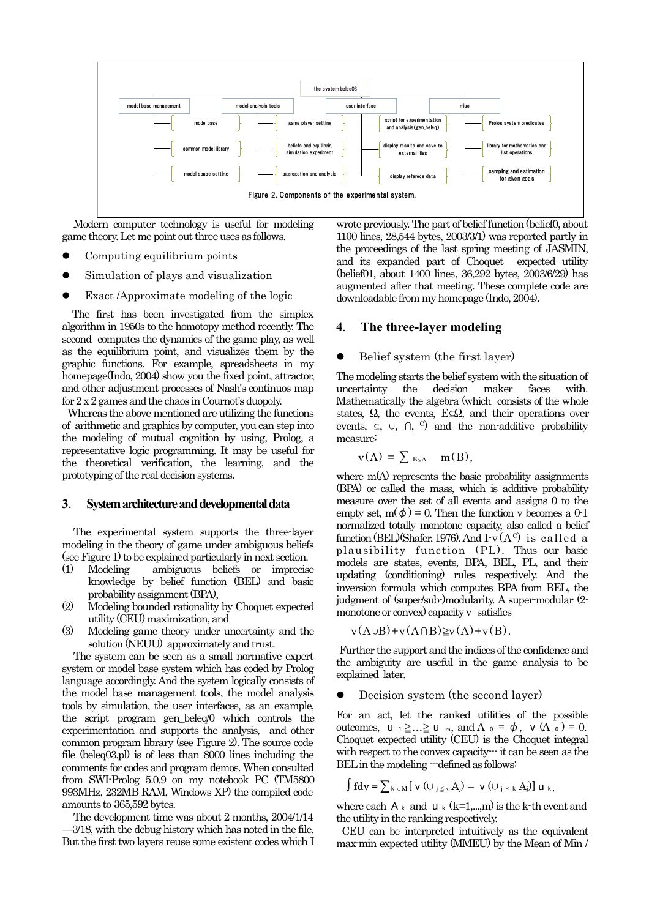

Modern computer technology is useful for modeling game theory. Let me point out three uses as follows.

- Computing equilibrium points
- Simulation of plays and visualization
- Exact /Approximate modeling of the logic

The first has been investigated from the simplex algorithm in 1950s to the homotopy method recently. The second computes the dynamics of the game play, as well as the equilibrium point, and visualizes them by the graphic functions. For example, spreadsheets in my homepage(Indo, 2004) show you the fixed point, attractor, and other adjustment processes of Nash's continuos map for  $2 \times 2$  games and the chaos in Cournot's duopoly.

Whereas the above mentioned are utilizing the functions of arithmetic and graphics by computer, you can step into the modeling of mutual cognition by using, Prolog, a representative logic programming. It may be useful for the theoretical verification, the learning, and the prototyping of the real decision systems.

#### **3**. **Systemarchitectureanddevelopmentaldata**

The experimental system supports the three-layer modeling in the theory of game under ambiguous beliefs (see Figure 1) to be explained particularly in next section.

- (1) Modeling ambiguous beliefs or imprecise knowledge by belief function (BEL) and basic probabilityassignment(BPA),
- (2) Modeling bounded rationality by Choquet expected utility (CEU) maximization, and
- (3) Modeling game theory under uncertainty and the solution (NEUU) approximately and trust.

The system can be seen as a small normative expert system or model base system which has coded by Prolog language accordingly. And the system logically consists of the model base management tools, the model analysis tools by simulation, the user interfaces, as an example, the script program gen\_beleq/0 which controls the experimentation and supports the analysis, and other common program library (see Figure 2). The source code file (beleq03.pl) is of less than 8000 lines including the comments for codes and program demos. When consulted from SWI-Prolog 5.0.9 on my notebook PC (TM5800 993MHz, 232MB RAM, Windows XP) the compiled code amounts to 365,592 bytes.

The development time was about 2 months, 2004/1/14 —3/18, with the debug history which has noted in the file. But the first two layers reuse some existent codes which I

wrote previously. The part of belief function (belief0, about 1100 lines, 28,544 bytes, 2003/3/1) was reported partly in the proceedings of the last spring meeting of JASMIN, and its expanded part of Choquet expected utility (belief01, about 1400 lines, 36,292 bytes, 2003/6/29) has augmented after that meeting. These complete code are downloadable from my homepage (Indo, 2004).

# **4**. **The three-layer modeling**

#### Belief system (the first layer)

The modeling starts the belief system with the situation of uncertainty the decision maker faces with. Mathematically the algebra (which consists of the whole states, Ω, the events, E⊆Ω, and their operations over events,  $\subseteq$ ,  $\cup$ ,  $\cap$ ,  $\subseteq$ ) and the non-additive probability measure:

$$
v(A) = \sum_{B \subseteq A} m(B),
$$

where m(A) represents the basic probability assignments (BPA) or called the mass, which is additive probability measure over the set of all events and assigns 0 to the empty set,  $m(\phi) = 0$ . Then the function v becomes a 0-1 normalized totally monotone capacity, also called a belief function (BEL)(Shafer, 1976). And  $1\nu(A^c)$  is called a plausibility function (PL). Thus our basic models are states, events, BPA, BEL, PL, and their updating (conditioning) rules respectively. And the inversion formula which computes BPA from BEL, the judgment of (super/sub-)modularity. A super-modular (2 monotone or convex) capacity v satisfies

$$
v(A\cup B)+v(A\cap B)\geq v(A)+v(B).
$$

Further the support and the indices of the confidence and the ambiguity are useful in the game analysis to be explained later.

Decision system (the second layer)

For an act, let the ranked utilities of the possible outcomes,  $u_1 \geq ... \geq u_m$ , and  $A_0 = \phi$ ,  $v(A_0) = 0$ . Choquet expected utility (CEU) is the Choquet integral with respect to the convex capacity--- it can be seen as the BEL in the modeling ---defined as follows:

$$
\int f dv = \sum_{k \in M} \left[ v \left( \cup_{j \leq k} A_j \right) - v \left( \cup_{j \leq k} A_j \right) \right] u_k
$$

where each  $A_k$  and  $U_k$  (k=1,...,m) is the k-th event and the utility in the ranking respectively.

CEU can be interpreted intuitively as the equivalent max-min expected utility (MMEU) by the Mean of Min /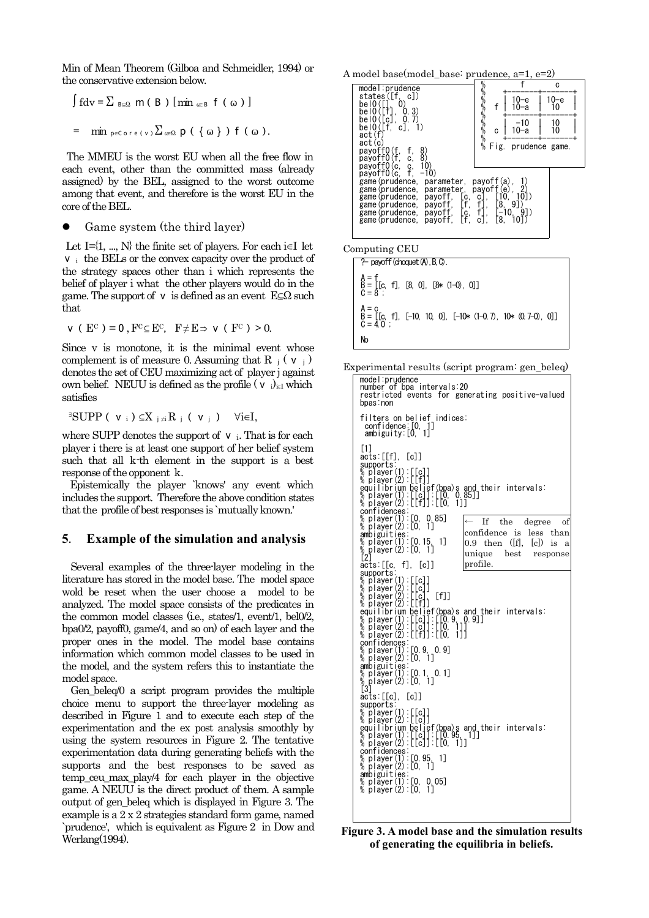Min of Mean Theorem (Gilboa and Schmeidler, 1994) or the conservative extension below.

$$
\int f dv = \sum_{B \subseteq \Omega} m (B) [min_{\omega \in B} f (\omega)]
$$
  
= min\_{p \in C \text{ or } \varepsilon(v)} \sum\_{\omega \in \Omega} p ( {\omega} ) f (\omega).

The MMEU is the worst EU when all the free flow in each event, other than the committed mass (already assigned) by the BEL, assigned to the worst outcome among that event, and therefore is the worst EU in the core of the BEL.

Game system (the third layer)

Let I= $\{1, ..., N\}$  the finite set of players. For each i $\in I$  let  $v_i$  the BELs or the convex capacity over the product of the strategy spaces other than i which represents the belief of player i what the other players would do in the game. The support of v is defined as an event  $E \subseteq \Omega$  such that

v(E<sup>c</sup>)=0,F<sup>c</sup> $\in$ E<sup>c</sup>, F $\neq$ E $\Rightarrow$  v(F<sup>c</sup>) >0.

Since v is monotone, it is the minimal event whose complement is of measure 0. Assuming that R  $_1$  (v<sub>j</sub>) denotes the set of CEU maximizing act of player j against own belief. NEUU is defined as the profile ( $v_i$ )<sub>i $\in I$ </sub> which satisfies

 $\exists \text{SUPP}$ ( v<sub>i</sub>)⊆X<sub>i≠i</sub>R<sub>i</sub>( v<sub>i</sub>)  $\forall i\in I$ ,

where SUPP denotes the support of  $v_i$ . That is for each player i there is at least one support of her belief system such that all k-th element in the support is a best response of the opponent k.

Epistemically the player `knows' any event which includes the support. Therefore the above condition states that the profile of best responses is `mutually known.'

### **5**. **Example of the simulation and analysis**

Several examples of the three-layer modeling in the literature has stored in the model base. The model space wold be reset when the user choose a model to be analyzed. The model space consists of the predicates in the common model classes (i.e., states/1, event/1, bel0/2, bpa0/2, payoff0, game/4, and so on) of each layer and the proper ones in the model. The model base contains information which common model classes to be used in the model, and the system refers this to instantiate the model space.

Gen\_beleq/0 a script program provides the multiple choice menu to support the three-layer modeling as described in Figure 1 and to execute each step of the experimentation and the ex post analysis smoothly by using the system resources in Figure 2. The tentative experimentation data during generating beliefs with the supports and the best responses to be saved as temp\_ceu\_max\_play/4 for each player in the objective game. A NEUU is the direct product of them. A sample output of gen\_beleq which is displayed in Figure 3. The example is a  $2 \times 2$  strategies standard form game, named `prudence', which is equivalent as Figure 2 in Dow and Werlang(1994).

A model base(model base: prudence,  $a=1, e=2$ )

| model:prudence                                                                                                                |                                  |                                | c              |
|-------------------------------------------------------------------------------------------------------------------------------|----------------------------------|--------------------------------|----------------|
| states([f. c])<br>be 10 (<br>0)<br>be 10<br>0.<br>3)                                                                          | ********<br>f                    | 10-е                           | $U$ –e<br>10   |
| be 10<br>C<br>belO([f.<br>c].<br>act(f)                                                                                       | C                                | $-10$<br>10-а                  | 10             |
| act(c)<br>payoff0(f<br>8)<br>8)<br>pavoff0(f.<br>c.<br>pavoff0(c.<br>10)<br>c.                                                | Fig.                             |                                | prudence game. |
| payoff0(c.<br>$-10$<br>game(prudence.<br>payoff(a)<br>parameter,<br>parameter.<br>payoff(e)<br>game (prudence.                |                                  |                                |                |
| payoff.<br>game(prudence,<br>Lc.<br>payoff.<br>game(prudence,<br>payoff.<br>game(prudence,<br>c.<br>payoff,<br>game(prudence, | СJ<br>f1<br>.8.<br>f1<br>8.<br>c | 10.<br> U <br>91<br>91)<br>10, |                |

Computing CEU

? - payoff (choquet  $(A)$ , B, C). A = f B = [[c, f], [8, 0], [8\* (1-0), 0]] C = 8 ; A = c B = [[c, f], [-10, 10, 0], [-10\* (1-0.7), 10\* (0.7-0), 0]] C = 4.0 ; No

Experimental results (script program: gen\_beleq)

| model:prudence<br>number of bpa intervals:20<br>restricted events for generating positive-valued<br>bpas: non                                                                                                                                                                                                                                                                                                                                                                                                                                                                                                                               |  |  |
|---------------------------------------------------------------------------------------------------------------------------------------------------------------------------------------------------------------------------------------------------------------------------------------------------------------------------------------------------------------------------------------------------------------------------------------------------------------------------------------------------------------------------------------------------------------------------------------------------------------------------------------------|--|--|
| filters on belief indices:<br>confidence [0, 1]<br>ambiguity: $[0, 1]$                                                                                                                                                                                                                                                                                                                                                                                                                                                                                                                                                                      |  |  |
| [1]<br>acts:[[f], [c]]<br>supports:<br>% player(1):[[c]]<br>% player(2):[[f]]<br>equilibrium bellef(bpa)s and their intervals:<br>% player(1):[[c]]:[[0, 0.85]]<br>% player(2):[[f]]:[[0, 1]]<br>confidences                                                                                                                                                                                                                                                                                                                                                                                                                                |  |  |
| % player (1) : [0,<br>% player (2) : [0,<br>0.85]<br>If the<br>degree<br>- of<br>11<br>confidence is<br>less than<br>ambiguities:<br>% player(1): [0.15,<br>% player(2): [0, 1]<br>0.9 then $([f], [c])$<br>IJ<br>is<br>a<br>unique<br>best response<br>[2]<br>profile.<br>acts: [[c, f], [c]]                                                                                                                                                                                                                                                                                                                                              |  |  |
| supports:<br>% player (1) : [[c]]<br>% player (2) : [[c]]<br>% player (2) : [[c]]<br>% player (2) : [[t]]<br>$[f]]% \centering \includegraphics[width=1\textwidth]{Figures/PQ1.png} \caption{The 3D (top) and the 4D (bottom) of the 3D (bottom) of the 3D (bottom) of the 3D (bottom) of the 3D (bottom) of the 3D (bottom).} \label{fig:SPQ1}$<br>equilibrium belief(bpa)s and their intervals:<br>% player(1):[[c]]:[[0.9, 0.9]]<br>% player(2):[[c]]:[[0.9, 0.9]]<br>% player(2):[[f]]:[[0, 1]]<br>contidences:<br>% player(1):[0.9, 0.9]<br>% player(2):[0, 1]<br>ambiguities:<br>% player (1) : [0, 1, 0, 1]<br>% player (2) : [0, 1] |  |  |
| $\left[\begin{smallmatrix} 3 \end{smallmatrix}\right]$<br>[c]]<br>acts:[[c],<br>supports<br>% player(1):[[c]]<br>% player(2):[[c]]<br>equilibrium bellef(bpa)s and their intervals:<br>% player(1):[[c]]:[[0.95. 1]]<br>% player(2):[[c]]:[[0, 1]]<br>confidences:<br>% player(1):[0.95, 1]<br>% player(2):[0, 1]<br>ambiguities:<br>$%$ player $(\overline{1})$ :<br>% player(1):[0,<br>% player(2):[0,<br>0.05]<br>11                                                                                                                                                                                                                     |  |  |

**Figure 3. A model base and the simulation results of generating the equilibria in beliefs.**